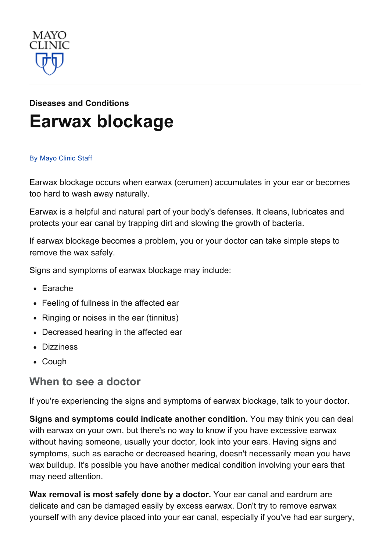

# Diseases and [Conditions](http://www.mayoclinic.org/diseases-conditions) Earwax [blockage](http://www.mayoclinic.org/diseases-conditions/earwax-blockage/basics/definition/con-20018904)

#### By [Mayo](http://www.mayoclinic.org/about-this-site/welcome) Clinic Staff

Earwax blockage occurs when earwax (cerumen) accumulates in your ear or becomes too hard to wash away naturally.

Earwax is a helpful and natural part of your body's defenses. It cleans, lubricates and protects your ear canal by trapping dirt and slowing the growth of bacteria.

If earwax blockage becomes a problem, you or your doctor can take simple steps to remove the wax safely.

Signs and symptoms of earwax blockage may include:

- Earache
- Feeling of fullness in the affected ear
- Ringing or noises in the ear (tinnitus)
- Decreased hearing in the affected ear
- Dizziness
- Cough

#### When to see a doctor

If you're experiencing the signs and symptoms of earwax blockage, talk to your doctor.

Signs and symptoms could indicate another condition. You may think you can deal with earwax on your own, but there's no way to know if you have excessive earwax without having someone, usually your doctor, look into your ears. Having signs and symptoms, such as earache or decreased hearing, doesn't necessarily mean you have wax buildup. It's possible you have another medical condition involving your ears that may need attention.

Wax removal is most safely done by a doctor. Your ear canal and eardrum are delicate and can be damaged easily by excess earwax. Don't try to remove earwax yourself with any device placed into your ear canal, especially if you've had ear surgery,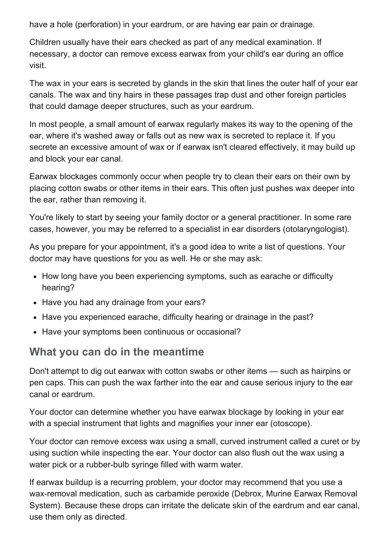have a hole (perforation) in your eardrum, or are having ear pain or drainage.

Children usually have their ears checked as part of any medical examination. If necessary, a doctor can remove excess earwax from your child's ear during an office visit.

The wax in your ears is secreted by glands in the skin that lines the outer half of your ear canals. The wax and tiny hairs in these passages trap dust and other foreign particles that could damage deeper structures, such as your eardrum.

In most people, a small amount of earwax regularly makes its way to the opening of the ear, where it's washed away or falls out as new wax is secreted to replace it. If you secrete an excessive amount of wax or if earwax isn't cleared effectively, it may build up and block your ear canal.

Earwax blockages commonly occur when people try to clean their ears on their own by placing cotton swabs or other items in their ears. This often just pushes wax deeper into the ear, rather than removing it.

You're likely to start by seeing your family doctor or a general practitioner. In some rare cases, however, you may be referred to a specialist in ear disorders (otolaryngologist).

As you prepare for your appointment, it's a good idea to write a list of questions. Your doctor may have questions for you as well. He or she may ask:

- How long have you been experiencing symptoms, such as earache or difficulty hearing?
- Have you had any drainage from your ears?
- Have you experienced earache, difficulty hearing or drainage in the past?
- Have your symptoms been continuous or occasional?

#### What you can do in the meantime

Don't attempt to dig out earwax with cotton swabs or other items — such as hairpins or pen caps. This can push the wax farther into the ear and cause serious injury to the ear canal or eardrum.

Your doctor can determine whether you have earwax blockage by looking in your ear with a special instrument that lights and magnifies your inner ear (otoscope).

Your doctor can remove excess wax using a small, curved instrument called a curet or by using suction while inspecting the ear. Your doctor can also flush out the wax using a water pick or a rubber-bulb syringe filled with warm water.

If earwax buildup is a recurring problem, your doctor may recommend that you use a wax-removal medication, such as carbamide peroxide (Debrox, Murine Earwax Removal System). Because these drops can irritate the delicate skin of the eardrum and ear canal, use them only as directed.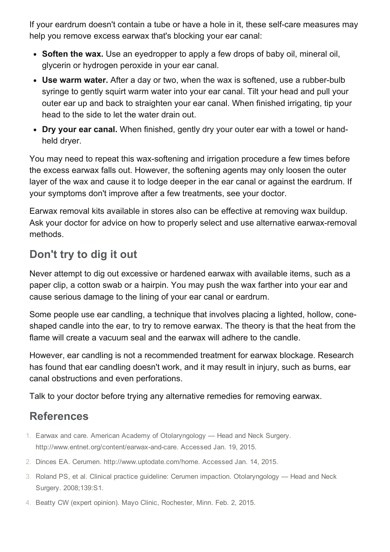If your eardrum doesn't contain a tube or have a hole in it, these self-care measures may help you remove excess earwax that's blocking your ear canal:

- Soften the wax. Use an eyedropper to apply a few drops of baby oil, mineral oil, glycerin or hydrogen peroxide in your ear canal.
- Use warm water. After a day or two, when the wax is softened, use a rubber-bulb syringe to gently squirt warm water into your ear canal. Tilt your head and pull your outer ear up and back to straighten your ear canal. When finished irrigating, tip your head to the side to let the water drain out.
- Dry your ear canal. When finished, gently dry your outer ear with a towel or handheld dryer.

You may need to repeat this wax-softening and irrigation procedure a few times before the excess earwax falls out. However, the softening agents may only loosen the outer layer of the wax and cause it to lodge deeper in the ear canal or against the eardrum. If your symptoms don't improve after a few treatments, see your doctor.

Earwax removal kits available in stores also can be effective at removing wax buildup. Ask your doctor for advice on how to properly select and use alternative earwax-removal methods.

### Don't try to dig it out

Never attempt to dig out excessive or hardened earwax with available items, such as a paper clip, a cotton swab or a hairpin. You may push the wax farther into your ear and cause serious damage to the lining of your ear canal or eardrum.

Some people use ear candling, a technique that involves placing a lighted, hollow, coneshaped candle into the ear, to try to remove earwax. The theory is that the heat from the flame will create a vacuum seal and the earwax will adhere to the candle.

However, ear candling is not a recommended treatment for earwax blockage. Research has found that ear candling doesn't work, and it may result in injury, such as burns, ear canal obstructions and even perforations.

Talk to your doctor before trying any alternative remedies for removing earwax.

## References

- 1. Earwax and care. American Academy of Otolaryngology Head and Neck Surgery. http://www.entnet.org/content/earwax-and-care. Accessed Jan. 19, 2015.
- 2. Dinces EA. Cerumen. http://www.uptodate.com/home. Accessed Jan. 14, 2015.
- 3. Roland PS, et al. Clinical practice guideline: Cerumen impaction. Otolaryngology Head and Neck Surgery. 2008;139:S1.
- 4. Beatty CW (expert opinion). Mayo Clinic, Rochester, Minn. Feb. 2, 2015.